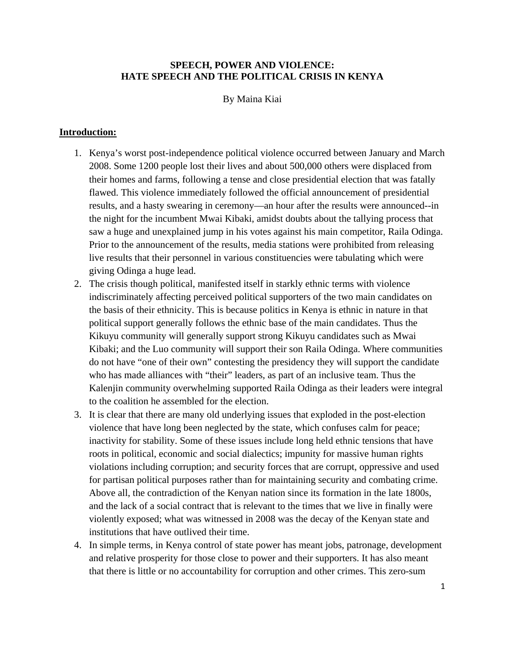# **SPEECH, POWER AND VIOLENCE: HATE SPEECH AND THE POLITICAL CRISIS IN KENYA**

By Maina Kiai

# **Introduction:**

- 1. Kenya's worst post-independence political violence occurred between January and March 2008. Some 1200 people lost their lives and about 500,000 others were displaced from their homes and farms, following a tense and close presidential election that was fatally flawed. This violence immediately followed the official announcement of presidential results, and a hasty swearing in ceremony—an hour after the results were announced--in the night for the incumbent Mwai Kibaki, amidst doubts about the tallying process that saw a huge and unexplained jump in his votes against his main competitor, Raila Odinga. Prior to the announcement of the results, media stations were prohibited from releasing live results that their personnel in various constituencies were tabulating which were giving Odinga a huge lead.
- 2. The crisis though political, manifested itself in starkly ethnic terms with violence indiscriminately affecting perceived political supporters of the two main candidates on the basis of their ethnicity. This is because politics in Kenya is ethnic in nature in that political support generally follows the ethnic base of the main candidates. Thus the Kikuyu community will generally support strong Kikuyu candidates such as Mwai Kibaki; and the Luo community will support their son Raila Odinga. Where communities do not have "one of their own" contesting the presidency they will support the candidate who has made alliances with "their" leaders, as part of an inclusive team. Thus the Kalenjin community overwhelming supported Raila Odinga as their leaders were integral to the coalition he assembled for the election.
- 3. It is clear that there are many old underlying issues that exploded in the post-election violence that have long been neglected by the state, which confuses calm for peace; inactivity for stability. Some of these issues include long held ethnic tensions that have roots in political, economic and social dialectics; impunity for massive human rights violations including corruption; and security forces that are corrupt, oppressive and used for partisan political purposes rather than for maintaining security and combating crime. Above all, the contradiction of the Kenyan nation since its formation in the late 1800s, and the lack of a social contract that is relevant to the times that we live in finally were violently exposed; what was witnessed in 2008 was the decay of the Kenyan state and institutions that have outlived their time.
- 4. In simple terms, in Kenya control of state power has meant jobs, patronage, development and relative prosperity for those close to power and their supporters. It has also meant that there is little or no accountability for corruption and other crimes. This zero-sum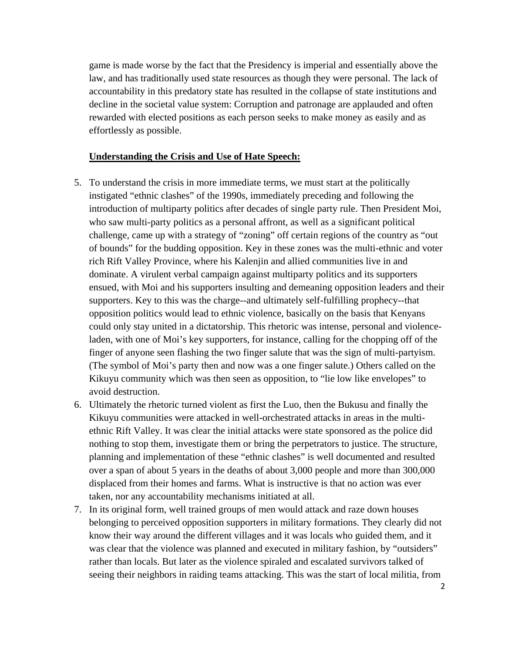game is made worse by the fact that the Presidency is imperial and essentially above the law, and has traditionally used state resources as though they were personal. The lack of accountability in this predatory state has resulted in the collapse of state institutions and decline in the societal value system: Corruption and patronage are applauded and often rewarded with elected positions as each person seeks to make money as easily and as effortlessly as possible.

### **Understanding the Crisis and Use of Hate Speech:**

- 5. To understand the crisis in more immediate terms, we must start at the politically instigated "ethnic clashes" of the 1990s, immediately preceding and following the introduction of multiparty politics after decades of single party rule. Then President Moi, who saw multi-party politics as a personal affront, as well as a significant political challenge, came up with a strategy of "zoning" off certain regions of the country as "out of bounds" for the budding opposition. Key in these zones was the multi-ethnic and voter rich Rift Valley Province, where his Kalenjin and allied communities live in and dominate. A virulent verbal campaign against multiparty politics and its supporters ensued, with Moi and his supporters insulting and demeaning opposition leaders and their supporters. Key to this was the charge--and ultimately self-fulfilling prophecy--that opposition politics would lead to ethnic violence, basically on the basis that Kenyans could only stay united in a dictatorship. This rhetoric was intense, personal and violenceladen, with one of Moi's key supporters, for instance, calling for the chopping off of the finger of anyone seen flashing the two finger salute that was the sign of multi-partyism. (The symbol of Moi's party then and now was a one finger salute.) Others called on the Kikuyu community which was then seen as opposition, to "lie low like envelopes" to avoid destruction.
- 6. Ultimately the rhetoric turned violent as first the Luo, then the Bukusu and finally the Kikuyu communities were attacked in well-orchestrated attacks in areas in the multiethnic Rift Valley. It was clear the initial attacks were state sponsored as the police did nothing to stop them, investigate them or bring the perpetrators to justice. The structure, planning and implementation of these "ethnic clashes" is well documented and resulted over a span of about 5 years in the deaths of about 3,000 people and more than 300,000 displaced from their homes and farms. What is instructive is that no action was ever taken, nor any accountability mechanisms initiated at all.
- 7. In its original form, well trained groups of men would attack and raze down houses belonging to perceived opposition supporters in military formations. They clearly did not know their way around the different villages and it was locals who guided them, and it was clear that the violence was planned and executed in military fashion, by "outsiders" rather than locals. But later as the violence spiraled and escalated survivors talked of seeing their neighbors in raiding teams attacking. This was the start of local militia, from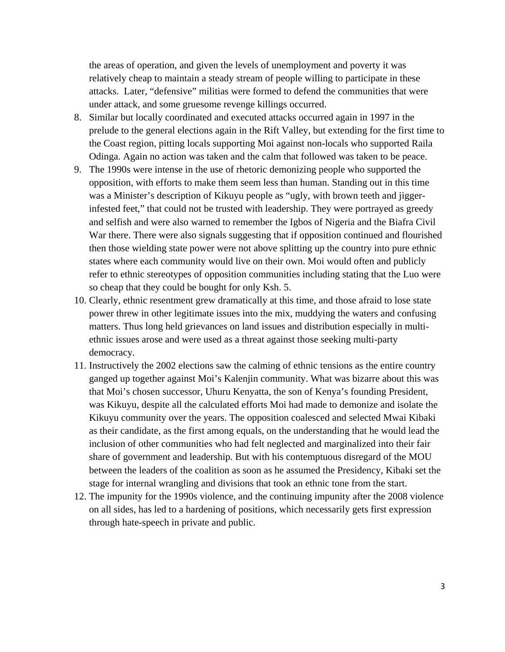the areas of operation, and given the levels of unemployment and poverty it was relatively cheap to maintain a steady stream of people willing to participate in these attacks. Later, "defensive" militias were formed to defend the communities that were under attack, and some gruesome revenge killings occurred.

- 8. Similar but locally coordinated and executed attacks occurred again in 1997 in the prelude to the general elections again in the Rift Valley, but extending for the first time to the Coast region, pitting locals supporting Moi against non-locals who supported Raila Odinga. Again no action was taken and the calm that followed was taken to be peace.
- 9. The 1990s were intense in the use of rhetoric demonizing people who supported the opposition, with efforts to make them seem less than human. Standing out in this time was a Minister's description of Kikuyu people as "ugly, with brown teeth and jiggerinfested feet," that could not be trusted with leadership. They were portrayed as greedy and selfish and were also warned to remember the Igbos of Nigeria and the Biafra Civil War there. There were also signals suggesting that if opposition continued and flourished then those wielding state power were not above splitting up the country into pure ethnic states where each community would live on their own. Moi would often and publicly refer to ethnic stereotypes of opposition communities including stating that the Luo were so cheap that they could be bought for only Ksh. 5.
- 10. Clearly, ethnic resentment grew dramatically at this time, and those afraid to lose state power threw in other legitimate issues into the mix, muddying the waters and confusing matters. Thus long held grievances on land issues and distribution especially in multiethnic issues arose and were used as a threat against those seeking multi-party democracy.
- 11. Instructively the 2002 elections saw the calming of ethnic tensions as the entire country ganged up together against Moi's Kalenjin community. What was bizarre about this was that Moi's chosen successor, Uhuru Kenyatta, the son of Kenya's founding President, was Kikuyu, despite all the calculated efforts Moi had made to demonize and isolate the Kikuyu community over the years. The opposition coalesced and selected Mwai Kibaki as their candidate, as the first among equals, on the understanding that he would lead the inclusion of other communities who had felt neglected and marginalized into their fair share of government and leadership. But with his contemptuous disregard of the MOU between the leaders of the coalition as soon as he assumed the Presidency, Kibaki set the stage for internal wrangling and divisions that took an ethnic tone from the start.
- 12. The impunity for the 1990s violence, and the continuing impunity after the 2008 violence on all sides, has led to a hardening of positions, which necessarily gets first expression through hate-speech in private and public.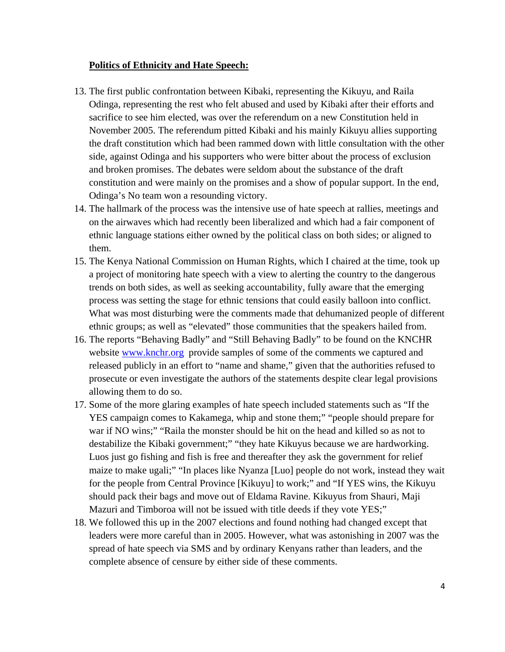# **Politics of Ethnicity and Hate Speech:**

- 13. The first public confrontation between Kibaki, representing the Kikuyu, and Raila Odinga, representing the rest who felt abused and used by Kibaki after their efforts and sacrifice to see him elected, was over the referendum on a new Constitution held in November 2005. The referendum pitted Kibaki and his mainly Kikuyu allies supporting the draft constitution which had been rammed down with little consultation with the other side, against Odinga and his supporters who were bitter about the process of exclusion and broken promises. The debates were seldom about the substance of the draft constitution and were mainly on the promises and a show of popular support. In the end, Odinga's No team won a resounding victory.
- 14. The hallmark of the process was the intensive use of hate speech at rallies, meetings and on the airwaves which had recently been liberalized and which had a fair component of ethnic language stations either owned by the political class on both sides; or aligned to them.
- 15. The Kenya National Commission on Human Rights, which I chaired at the time, took up a project of monitoring hate speech with a view to alerting the country to the dangerous trends on both sides, as well as seeking accountability, fully aware that the emerging process was setting the stage for ethnic tensions that could easily balloon into conflict. What was most disturbing were the comments made that dehumanized people of different ethnic groups; as well as "elevated" those communities that the speakers hailed from.
- 16. The reports "Behaving Badly" and "Still Behaving Badly" to be found on the KNCHR website www.knchr.org provide samples of some of the comments we captured and released publicly in an effort to "name and shame," given that the authorities refused to prosecute or even investigate the authors of the statements despite clear legal provisions allowing them to do so.
- 17. Some of the more glaring examples of hate speech included statements such as "If the YES campaign comes to Kakamega, whip and stone them;" "people should prepare for war if NO wins;" "Raila the monster should be hit on the head and killed so as not to destabilize the Kibaki government;" "they hate Kikuyus because we are hardworking. Luos just go fishing and fish is free and thereafter they ask the government for relief maize to make ugali;" "In places like Nyanza [Luo] people do not work, instead they wait for the people from Central Province [Kikuyu] to work;" and "If YES wins, the Kikuyu should pack their bags and move out of Eldama Ravine. Kikuyus from Shauri, Maji Mazuri and Timboroa will not be issued with title deeds if they vote YES;"
- 18. We followed this up in the 2007 elections and found nothing had changed except that leaders were more careful than in 2005. However, what was astonishing in 2007 was the spread of hate speech via SMS and by ordinary Kenyans rather than leaders, and the complete absence of censure by either side of these comments.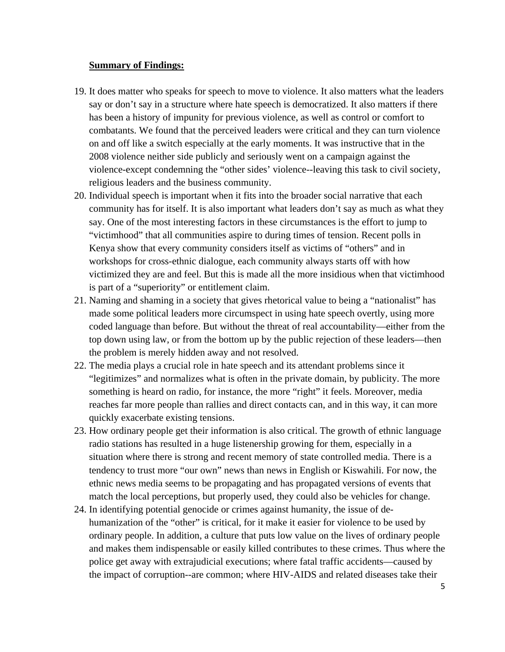### **Summary of Findings:**

- 19. It does matter who speaks for speech to move to violence. It also matters what the leaders say or don't say in a structure where hate speech is democratized. It also matters if there has been a history of impunity for previous violence, as well as control or comfort to combatants. We found that the perceived leaders were critical and they can turn violence on and off like a switch especially at the early moments. It was instructive that in the 2008 violence neither side publicly and seriously went on a campaign against the violence-except condemning the "other sides' violence--leaving this task to civil society, religious leaders and the business community.
- 20. Individual speech is important when it fits into the broader social narrative that each community has for itself. It is also important what leaders don't say as much as what they say. One of the most interesting factors in these circumstances is the effort to jump to "victimhood" that all communities aspire to during times of tension. Recent polls in Kenya show that every community considers itself as victims of "others" and in workshops for cross-ethnic dialogue, each community always starts off with how victimized they are and feel. But this is made all the more insidious when that victimhood is part of a "superiority" or entitlement claim.
- 21. Naming and shaming in a society that gives rhetorical value to being a "nationalist" has made some political leaders more circumspect in using hate speech overtly, using more coded language than before. But without the threat of real accountability—either from the top down using law, or from the bottom up by the public rejection of these leaders—then the problem is merely hidden away and not resolved.
- 22. The media plays a crucial role in hate speech and its attendant problems since it "legitimizes" and normalizes what is often in the private domain, by publicity. The more something is heard on radio, for instance, the more "right" it feels. Moreover, media reaches far more people than rallies and direct contacts can, and in this way, it can more quickly exacerbate existing tensions.
- 23. How ordinary people get their information is also critical. The growth of ethnic language radio stations has resulted in a huge listenership growing for them, especially in a situation where there is strong and recent memory of state controlled media. There is a tendency to trust more "our own" news than news in English or Kiswahili. For now, the ethnic news media seems to be propagating and has propagated versions of events that match the local perceptions, but properly used, they could also be vehicles for change.
- 24. In identifying potential genocide or crimes against humanity, the issue of dehumanization of the "other" is critical, for it make it easier for violence to be used by ordinary people. In addition, a culture that puts low value on the lives of ordinary people and makes them indispensable or easily killed contributes to these crimes. Thus where the police get away with extrajudicial executions; where fatal traffic accidents—caused by the impact of corruption--are common; where HIV-AIDS and related diseases take their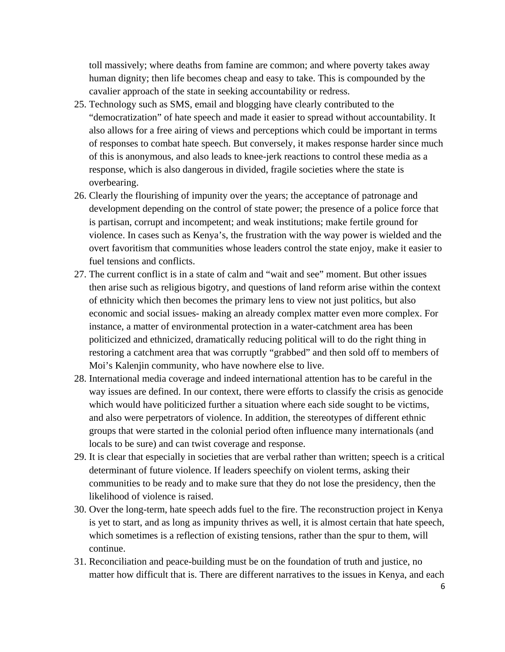toll massively; where deaths from famine are common; and where poverty takes away human dignity; then life becomes cheap and easy to take. This is compounded by the cavalier approach of the state in seeking accountability or redress.

- 25. Technology such as SMS, email and blogging have clearly contributed to the "democratization" of hate speech and made it easier to spread without accountability. It also allows for a free airing of views and perceptions which could be important in terms of responses to combat hate speech. But conversely, it makes response harder since much of this is anonymous, and also leads to knee-jerk reactions to control these media as a response, which is also dangerous in divided, fragile societies where the state is overbearing.
- 26. Clearly the flourishing of impunity over the years; the acceptance of patronage and development depending on the control of state power; the presence of a police force that is partisan, corrupt and incompetent; and weak institutions; make fertile ground for violence. In cases such as Kenya's, the frustration with the way power is wielded and the overt favoritism that communities whose leaders control the state enjoy, make it easier to fuel tensions and conflicts.
- 27. The current conflict is in a state of calm and "wait and see" moment. But other issues then arise such as religious bigotry, and questions of land reform arise within the context of ethnicity which then becomes the primary lens to view not just politics, but also economic and social issues- making an already complex matter even more complex. For instance, a matter of environmental protection in a water-catchment area has been politicized and ethnicized, dramatically reducing political will to do the right thing in restoring a catchment area that was corruptly "grabbed" and then sold off to members of Moi's Kalenjin community, who have nowhere else to live.
- 28. International media coverage and indeed international attention has to be careful in the way issues are defined. In our context, there were efforts to classify the crisis as genocide which would have politicized further a situation where each side sought to be victims, and also were perpetrators of violence. In addition, the stereotypes of different ethnic groups that were started in the colonial period often influence many internationals (and locals to be sure) and can twist coverage and response.
- 29. It is clear that especially in societies that are verbal rather than written; speech is a critical determinant of future violence. If leaders speechify on violent terms, asking their communities to be ready and to make sure that they do not lose the presidency, then the likelihood of violence is raised.
- 30. Over the long-term, hate speech adds fuel to the fire. The reconstruction project in Kenya is yet to start, and as long as impunity thrives as well, it is almost certain that hate speech, which sometimes is a reflection of existing tensions, rather than the spur to them, will continue.
- 31. Reconciliation and peace-building must be on the foundation of truth and justice, no matter how difficult that is. There are different narratives to the issues in Kenya, and each